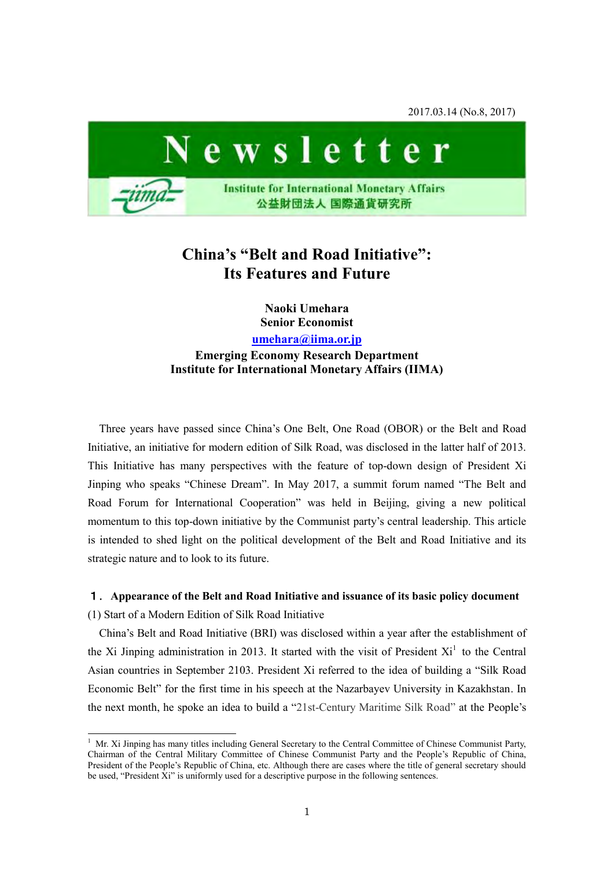2017.03.14 (No.8, 2017)



# **China's "Belt and Road Initiative": Its Features and Future**

**Naoki Umehara Senior Economist** 

**[umehara@iima.or.jp](mailto:umehara@iima.or.jp)**

**Emerging Economy Research Department Institute for International Monetary Affairs (IIMA)** 

Three years have passed since China's One Belt, One Road (OBOR) or the Belt and Road Initiative, an initiative for modern edition of Silk Road, was disclosed in the latter half of 2013. This Initiative has many perspectives with the feature of top-down design of President Xi Jinping who speaks "Chinese Dream". In May 2017, a summit forum named "The Belt and Road Forum for International Cooperation" was held in Beijing, giving a new political momentum to this top-down initiative by the Communist party's central leadership. This article is intended to shed light on the political development of the Belt and Road Initiative and its strategic nature and to look to its future.

# 1.**Appearance of the Belt and Road Initiative and issuance of its basic policy document**

(1) Start of a Modern Edition of Silk Road Initiative

-

China's Belt and Road Initiative (BRI) was disclosed within a year after the establishment of the Xi Jinping administration in 2013. It started with the visit of President  $Xi<sup>1</sup>$  to the Central Asian countries in September 2103. President Xi referred to the idea of building a "Silk Road Economic Belt" for the first time in his speech at the Nazarbayev University in Kazakhstan. In the next month, he spoke an idea to build a "21st-Century Maritime Silk Road" at the People's

<sup>&</sup>lt;sup>1</sup> Mr. Xi Jinping has many titles including General Secretary to the Central Committee of Chinese Communist Party, Chairman of the Central Military Committee of Chinese Communist Party and the People's Republic of China, President of the People's Republic of China, etc. Although there are cases where the title of general secretary should be used, "President Xi" is uniformly used for a descriptive purpose in the following sentences.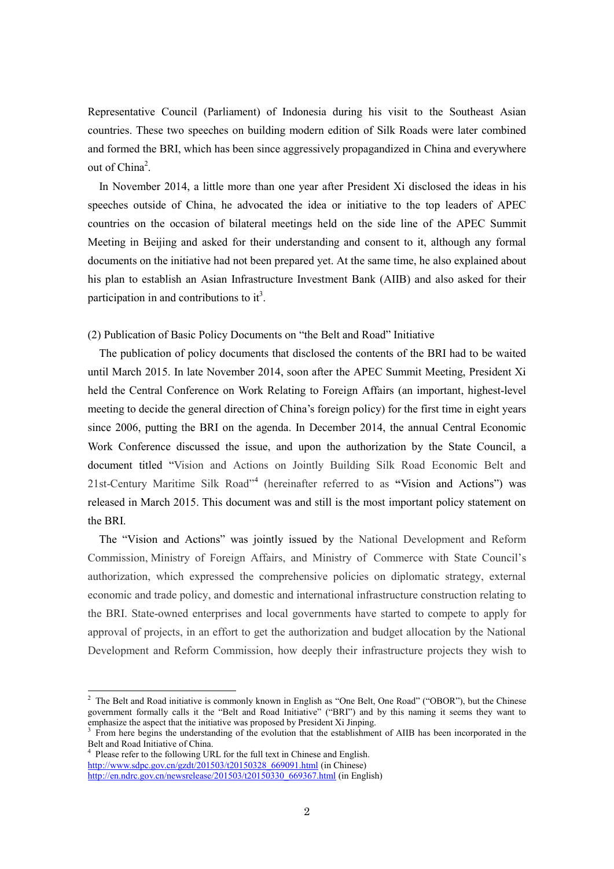Representative Council (Parliament) of Indonesia during his visit to the Southeast Asian countries. These two speeches on building modern edition of Silk Roads were later combined and formed the BRI, which has been since aggressively propagandized in China and everywhere out of China<sup>2</sup>.

In November 2014, a little more than one year after President Xi disclosed the ideas in his speeches outside of China, he advocated the idea or initiative to the top leaders of APEC countries on the occasion of bilateral meetings held on the side line of the APEC Summit Meeting in Beijing and asked for their understanding and consent to it, although any formal documents on the initiative had not been prepared yet. At the same time, he also explained about his plan to establish an Asian Infrastructure Investment Bank (AIIB) and also asked for their participation in and contributions to it<sup>3</sup>.

(2) Publication of Basic Policy Documents on "the Belt and Road" Initiative

The publication of policy documents that disclosed the contents of the BRI had to be waited until March 2015. In late November 2014, soon after the APEC Summit Meeting, President Xi held the Central Conference on Work Relating to Foreign Affairs (an important, highest-level meeting to decide the general direction of China's foreign policy) for the first time in eight years since 2006, putting the BRI on the agenda. In December 2014, the annual Central Economic Work Conference discussed the issue, and upon the authorization by the State Council, a document titled "Vision and Actions on Jointly Building Silk Road Economic Belt and 21st-Century Maritime Silk Road"<sup>4</sup> (hereinafter referred to as **"**Vision and Actions") was released in March 2015. This document was and still is the most important policy statement on the BRI.

The "Vision and Actions" was jointly issued by the National Development and Reform Commission, Ministry of Foreign Affairs, and Ministry of Commerce with State Council's authorization, which expressed the comprehensive policies on diplomatic strategy, external economic and trade policy, and domestic and international infrastructure construction relating to the BRI. State-owned enterprises and local governments have started to compete to apply for approval of projects, in an effort to get the authorization and budget allocation by the National Development and Reform Commission, how deeply their infrastructure projects they wish to

<sup>&</sup>lt;sup>2</sup> The Belt and Road initiative is commonly known in English as "One Belt, One Road" ("OBOR"), but the Chinese government formally calls it the "Belt and Road Initiative" ("BRI") and by this naming it seems they want to emphasize the aspect that the initiative was proposed by President Xi Jinping.

<sup>3</sup> From here begins the understanding of the evolution that the establishment of AIIB has been incorporated in the Belt and Road Initiative of China.

<sup>4</sup> Please refer to the following URL for the full text in Chinese and English. [http://www.sdpc.gov.cn/gzdt/201503/t20150328\\_669091.html](http://www.sdpc.gov.cn/gzdt/201503/t20150328_669091.html) (in Chinese) [http://en.ndrc.gov.cn/newsrelease/201503/t20150330\\_669367.html](http://en.ndrc.gov.cn/newsrelease/201503/t20150330_669367.html) (in English)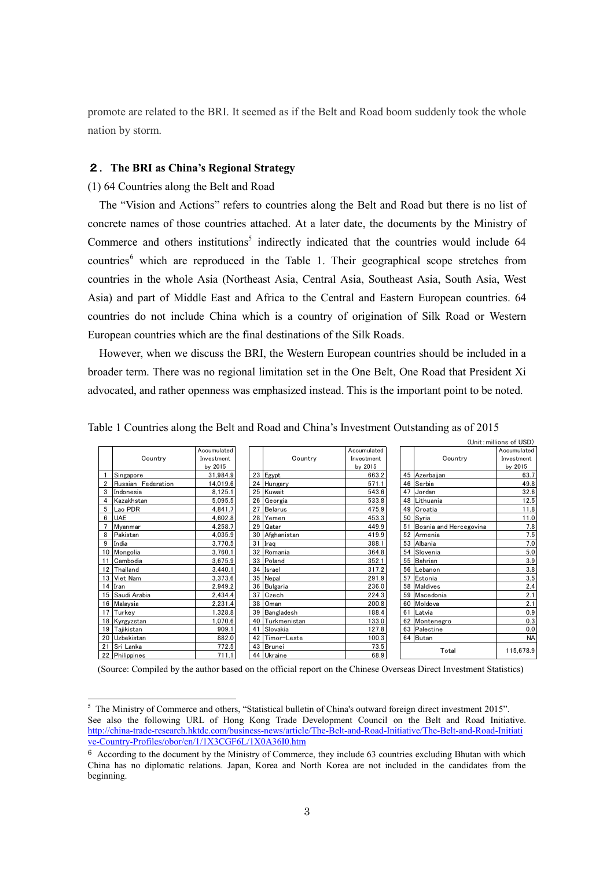promote are related to the BRI. It seemed as if the Belt and Road boom suddenly took the whole nation by storm.

# 2.**The BRI as China's Regional Strategy**

(1) 64 Countries along the Belt and Road

-

The "Vision and Actions" refers to countries along the Belt and Road but there is no list of concrete names of those countries attached. At a later date, the documents by the Ministry of Commerce and others institutions<sup>5</sup> indirectly indicated that the countries would include 64 countries<sup>6</sup> which are reproduced in the Table 1. Their geographical scope stretches from countries in the whole Asia (Northeast Asia, Central Asia, Southeast Asia, South Asia, West Asia) and part of Middle East and Africa to the Central and Eastern European countries. 64 countries do not include China which is a country of origination of Silk Road or Western European countries which are the final destinations of the Silk Roads.

However, when we discuss the BRI, the Western European countries should be included in a broader term. There was no regional limitation set in the One Belt, One Road that President Xi advocated, and rather openness was emphasized instead. This is the important point to be noted.

|                         |                    |             |    |                 |             |    |                        | (Unit: millions of USD) |
|-------------------------|--------------------|-------------|----|-----------------|-------------|----|------------------------|-------------------------|
|                         |                    | Accumulated |    |                 | Accumulated |    |                        | Accumulated             |
|                         | Country            | Investment  |    | Country         | Investment  |    | Country                | Investment              |
|                         |                    | by 2015     |    |                 | by 2015     |    |                        | by 2015                 |
|                         | Singapore          | 31,984.9    |    | 23 Egypt        | 663.2       |    | 45 Azerbaijan          | 63.7                    |
|                         | Russian Federation | 14,019.6    |    | 24 Hungary      | 571.1       |    | 46 Serbia              | 49.8                    |
| 3                       | Indonesia          | 8,125.1     |    | 25 Kuwait       | 543.6       | 47 | Jordan                 | 32.6                    |
| $\overline{\mathbf{4}}$ | Kazakhstan         | 5,095.5     |    | 26 Georgia      | 533.8       |    | 48 Lithuania           | 12.5                    |
|                         | 5 Lao PDR          | 4,841.7     | 27 | <b>Belarus</b>  | 475.9       |    | 49 Croatia             | 11.8                    |
|                         | <b>UAE</b>         | 4,602.8     |    | 28 Yemen        | 453.3       |    | 50 Syria               | 11.0                    |
|                         | Myanmar            | 4,258.7     | 29 | Qatar           | 449.9       | 51 | Bosnia and Hercegovina | 7.8                     |
|                         | 8 Pakistan         | 4,035.9     |    | 30 Afghanistan  | 419.9       |    | 52 Armenia             | 7.5                     |
| 9                       | India              | 3,770.5     |    | 31 Iraq         | 388.1       |    | 53 Albania             | 7.0                     |
|                         | 10 Mongolia        | 3,760.1     |    | 32 Romania      | 364.8       |    | 54 Slovenia            | $5.0\,$                 |
|                         | 11 Cambodia        | 3,675.9     |    | 33 Poland       | 352.1       |    | 55 Bahrian             | 3.9                     |
|                         | 12 Thailand        | 3,440.1     |    | 34 Israel       | 317.2       | 56 | Lebanon                | $3.8\,$                 |
|                         | 13 Viet Nam        | 3,373.6     |    | 35 Nepal        | 291.9       | 57 | Estonia                | 3.5                     |
|                         | 14 Iran            | 2,949.2     |    | 36 Bulgaria     | 236.0       |    | 58 Maldives            | 2.4                     |
|                         | 15 Saudi Arabia    | 2,434.4     | 37 | Czech           | 224.3       |    | 59 Macedonia           | 2.1                     |
|                         | 16 Malaysia        | 2,231.4     |    | 38 Oman         | 200.8       |    | 60 Moldova             | 2.1                     |
|                         | 17 Turkey          | 1,328.8     | 39 | Bangladesh      | 188.4       | 61 | Latvia                 | 0.9                     |
|                         | 18 Kyrgyzstan      | 1,070.6     |    | 40 Turkmenistan | 133.0       |    | 62 Montenegro          | 0.3                     |
|                         | 19 Tajikistan      | 909.1       | 41 | Slovakia        | 127.8       |    | 63 Palestine           | 0.0                     |
|                         | 20 Uzbekistan      | 882.0       |    | 42 Timor-Leste  | 100.3       |    | 64 Butan               | <b>NA</b>               |
|                         | 21 Sri Lanka       | 772.5       |    | 43 Brunei       | 73.5        |    |                        |                         |
|                         | 22 Philippines     | 711.1       |    | 44 Ukraine      | 68.9        |    | Total                  | 115,678.9               |

Table 1 Countries along the Belt and Road and China's Investment Outstanding as of 2015

(Source: Compiled by the author based on the official report on the Chinese Overseas Direct Investment Statistics)

<sup>&</sup>lt;sup>5</sup> The Ministry of Commerce and others, "Statistical bulletin of China's outward foreign direct investment 2015". See also the following URL of Hong Kong Trade Development Council on the Belt and Road Initiative. [http://china-trade-research.hktdc.com/business-news/article/The-Belt-and-Road-Initiative/The-Belt-and-Road-Initiati](http://china-trade-research.hktdc.com/business-news/article/The-Belt-and-Road-Initiative/The-Belt-and-Road-Initiative-Country-Profiles/obor/en/1/1X3CGF6L/1X0A36I0.htm) [ve-Country-Profiles/obor/en/1/1X3CGF6L/1X0A36I0.htm](http://china-trade-research.hktdc.com/business-news/article/The-Belt-and-Road-Initiative/The-Belt-and-Road-Initiative-Country-Profiles/obor/en/1/1X3CGF6L/1X0A36I0.htm)

<sup>6</sup> According to the document by the Ministry of Commerce, they include 63 countries excluding Bhutan with which China has no diplomatic relations. Japan, Korea and North Korea are not included in the candidates from the beginning.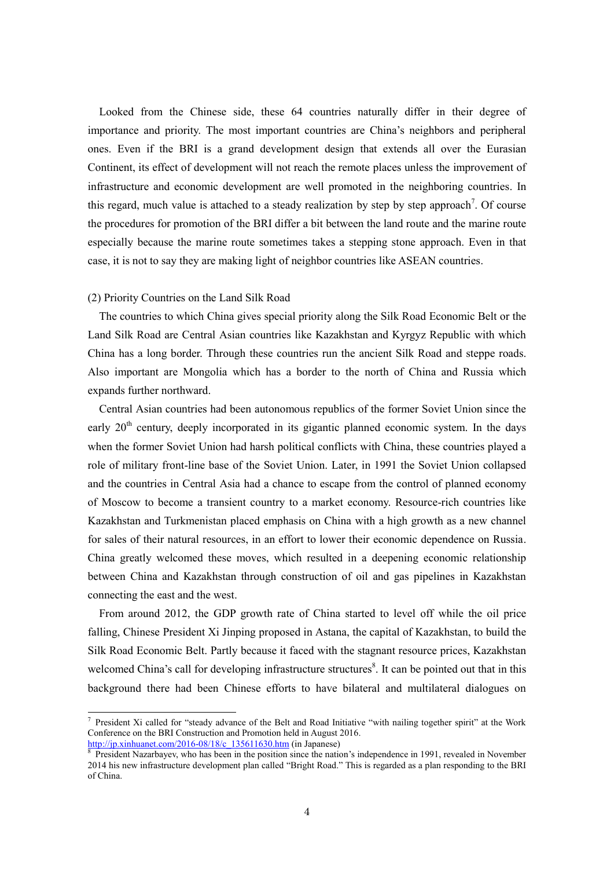Looked from the Chinese side, these 64 countries naturally differ in their degree of importance and priority. The most important countries are China's neighbors and peripheral ones. Even if the BRI is a grand development design that extends all over the Eurasian Continent, its effect of development will not reach the remote places unless the improvement of infrastructure and economic development are well promoted in the neighboring countries. In this regard, much value is attached to a steady realization by step by step approach<sup>7</sup>. Of course the procedures for promotion of the BRI differ a bit between the land route and the marine route especially because the marine route sometimes takes a stepping stone approach. Even in that case, it is not to say they are making light of neighbor countries like ASEAN countries.

#### (2) Priority Countries on the Land Silk Road

 $\overline{a}$ 

The countries to which China gives special priority along the Silk Road Economic Belt or the Land Silk Road are Central Asian countries like Kazakhstan and Kyrgyz Republic with which China has a long border. Through these countries run the ancient Silk Road and steppe roads. Also important are Mongolia which has a border to the north of China and Russia which expands further northward.

Central Asian countries had been autonomous republics of the former Soviet Union since the early 20<sup>th</sup> century, deeply incorporated in its gigantic planned economic system. In the days when the former Soviet Union had harsh political conflicts with China, these countries played a role of military front-line base of the Soviet Union. Later, in 1991 the Soviet Union collapsed and the countries in Central Asia had a chance to escape from the control of planned economy of Moscow to become a transient country to a market economy. Resource-rich countries like Kazakhstan and Turkmenistan placed emphasis on China with a high growth as a new channel for sales of their natural resources, in an effort to lower their economic dependence on Russia. China greatly welcomed these moves, which resulted in a deepening economic relationship between China and Kazakhstan through construction of oil and gas pipelines in Kazakhstan connecting the east and the west.

From around 2012, the GDP growth rate of China started to level off while the oil price falling, Chinese President Xi Jinping proposed in Astana, the capital of Kazakhstan, to build the Silk Road Economic Belt. Partly because it faced with the stagnant resource prices, Kazakhstan welcomed China's call for developing infrastructure structures<sup>8</sup>. It can be pointed out that in this background there had been Chinese efforts to have bilateral and multilateral dialogues on

<sup>&</sup>lt;sup>7</sup> President Xi called for "steady advance of the Belt and Road Initiative "with nailing together spirit" at the Work Conference on the BRI Construction and Promotion held in August 2016. [http://jp.xinhuanet.com/2016-08/18/c\\_135611630.htm \(](http://jp.xinhuanet.com/2016-08/18/c_135611630.htm)in Japanese)

<sup>8</sup> President Nazarbayev, who has been in the position since the nation's independence in 1991, revealed in November 2014 his new infrastructure development plan called "Bright Road." This is regarded as a plan responding to the BRI of China.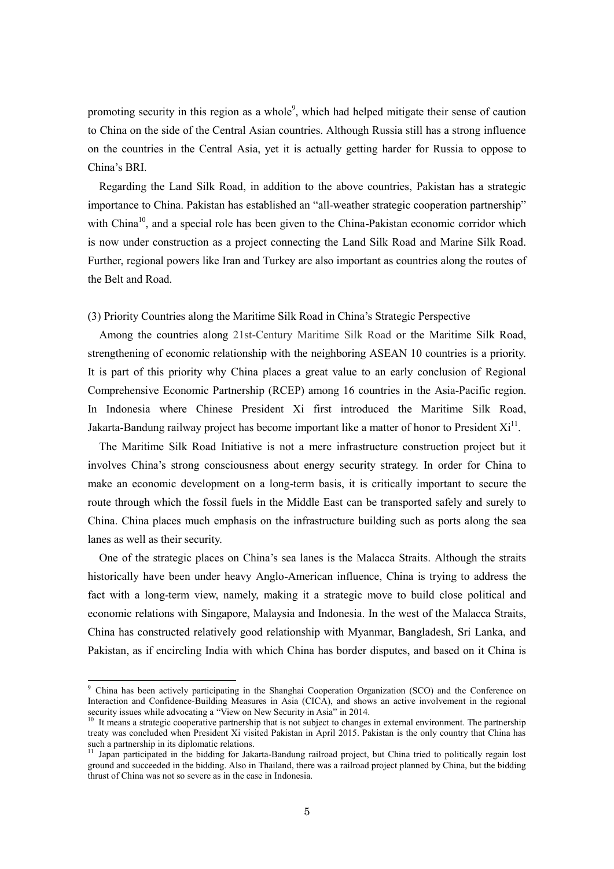promoting security in this region as a whole<sup>9</sup>, which had helped mitigate their sense of caution to China on the side of the Central Asian countries. Although Russia still has a strong influence on the countries in the Central Asia, yet it is actually getting harder for Russia to oppose to China's BRI.

Regarding the Land Silk Road, in addition to the above countries, Pakistan has a strategic importance to China. Pakistan has established an "all-weather strategic cooperation partnership" with China<sup>10</sup>, and a special role has been given to the China-Pakistan economic corridor which is now under construction as a project connecting the Land Silk Road and Marine Silk Road. Further, regional powers like Iran and Turkey are also important as countries along the routes of the Belt and Road.

## (3) Priority Countries along the Maritime Silk Road in China's Strategic Perspective

Among the countries along 21st-Century Maritime Silk Road or the Maritime Silk Road, strengthening of economic relationship with the neighboring ASEAN 10 countries is a priority. It is part of this priority why China places a great value to an early conclusion of Regional Comprehensive Economic Partnership (RCEP) among 16 countries in the Asia-Pacific region. In Indonesia where Chinese President Xi first introduced the Maritime Silk Road, Jakarta-Bandung railway project has become important like a matter of honor to President  $Xi<sup>11</sup>$ .

The Maritime Silk Road Initiative is not a mere infrastructure construction project but it involves China's strong consciousness about energy security strategy. In order for China to make an economic development on a long-term basis, it is critically important to secure the route through which the fossil fuels in the Middle East can be transported safely and surely to China. China places much emphasis on the infrastructure building such as ports along the sea lanes as well as their security.

One of the strategic places on China's sea lanes is the Malacca Straits. Although the straits historically have been under heavy Anglo-American influence, China is trying to address the fact with a long-term view, namely, making it a strategic move to build close political and economic relations with Singapore, Malaysia and Indonesia. In the west of the Malacca Straits, China has constructed relatively good relationship with Myanmar, Bangladesh, Sri Lanka, and Pakistan, as if encircling India with which China has border disputes, and based on it China is

-

<sup>&</sup>lt;sup>9</sup> China has been actively participating in the Shanghai Cooperation Organization (SCO) and the Conference on Interaction and Confidence-Building Measures in Asia (CICA), and shows an active involvement in the regional security issues while advocating a "View on New Security in Asia" in 2014.

<sup>&</sup>lt;sup>10</sup> It means a strategic cooperative partnership that is not subject to changes in external environment. The partnership treaty was concluded when President Xi visited Pakistan in April 2015. Pakistan is the only country that China has such a partnership in its diplomatic relations.

<sup>&</sup>lt;sup>11</sup> Japan participated in the bidding for Jakarta-Bandung railroad project, but China tried to politically regain lost ground and succeeded in the bidding. Also in Thailand, there was a railroad project planned by China, but the bidding thrust of China was not so severe as in the case in Indonesia.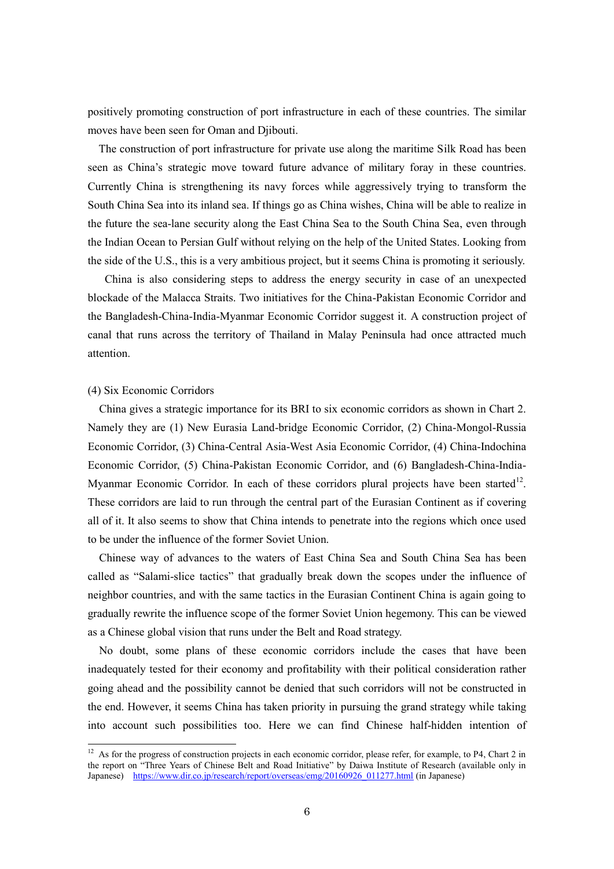positively promoting construction of port infrastructure in each of these countries. The similar moves have been seen for Oman and Djibouti.

The construction of port infrastructure for private use along the maritime Silk Road has been seen as China's strategic move toward future advance of military foray in these countries. Currently China is strengthening its navy forces while aggressively trying to transform the South China Sea into its inland sea. If things go as China wishes, China will be able to realize in the future the sea-lane security along the East China Sea to the South China Sea, even through the Indian Ocean to Persian Gulf without relying on the help of the United States. Looking from the side of the U.S., this is a very ambitious project, but it seems China is promoting it seriously.

China is also considering steps to address the energy security in case of an unexpected blockade of the Malacca Straits. Two initiatives for the China-Pakistan Economic Corridor and the Bangladesh-China-India-Myanmar Economic Corridor suggest it. A construction project of canal that runs across the territory of Thailand in Malay Peninsula had once attracted much attention.

## (4) Six Economic Corridors

 $\overline{\phantom{a}}$ 

China gives a strategic importance for its BRI to six economic corridors as shown in Chart 2. Namely they are (1) New Eurasia Land-bridge Economic Corridor, (2) China-Mongol-Russia Economic Corridor, (3) China-Central Asia-West Asia Economic Corridor, (4) China-Indochina Economic Corridor, (5) China-Pakistan Economic Corridor, and (6) Bangladesh-China-India-Myanmar Economic Corridor. In each of these corridors plural projects have been started<sup>12</sup>. These corridors are laid to run through the central part of the Eurasian Continent as if covering all of it. It also seems to show that China intends to penetrate into the regions which once used to be under the influence of the former Soviet Union.

Chinese way of advances to the waters of East China Sea and South China Sea has been called as "Salami-slice tactics" that gradually break down the scopes under the influence of neighbor countries, and with the same tactics in the Eurasian Continent China is again going to gradually rewrite the influence scope of the former Soviet Union hegemony. This can be viewed as a Chinese global vision that runs under the Belt and Road strategy.

No doubt, some plans of these economic corridors include the cases that have been inadequately tested for their economy and profitability with their political consideration rather going ahead and the possibility cannot be denied that such corridors will not be constructed in the end. However, it seems China has taken priority in pursuing the grand strategy while taking into account such possibilities too. Here we can find Chinese half-hidden intention of

 $12$  As for the progress of construction projects in each economic corridor, please refer, for example, to P4, Chart 2 in the report on "Three Years of Chinese Belt and Road Initiative" by Daiwa Institute of Research (available only in Japanese) [https://www.dir.co.jp/research/report/overseas/emg/20160926\\_011277.html](https://www.dir.co.jp/research/report/overseas/emg/20160926_011277.html) (in Japanese)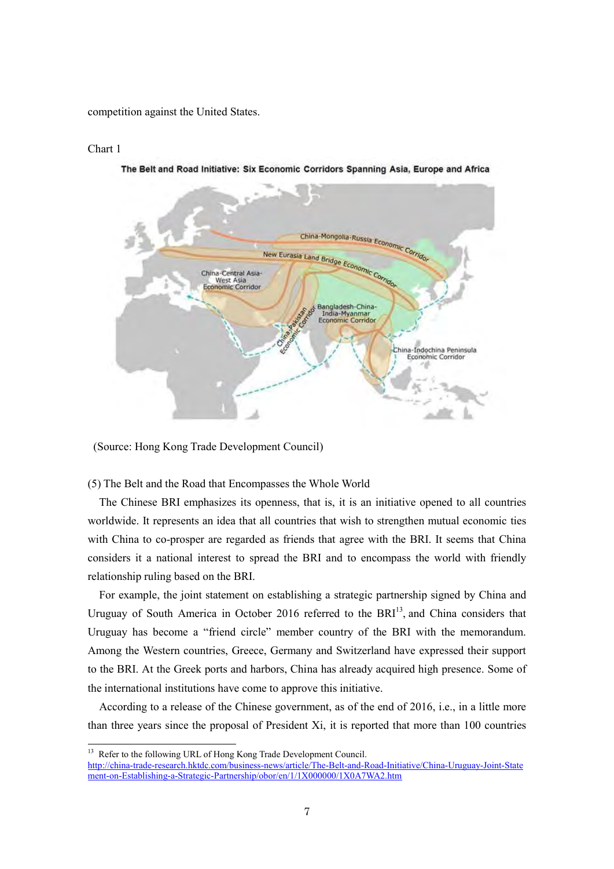competition against the United States.

## Chart 1

 $\overline{\phantom{a}}$ 



The Belt and Road Initiative: Six Economic Corridors Spanning Asia, Europe and Africa

(Source: Hong Kong Trade Development Council)

(5) The Belt and the Road that Encompasses the Whole World

The Chinese BRI emphasizes its openness, that is, it is an initiative opened to all countries worldwide. It represents an idea that all countries that wish to strengthen mutual economic ties with China to co-prosper are regarded as friends that agree with the BRI. It seems that China considers it a national interest to spread the BRI and to encompass the world with friendly relationship ruling based on the BRI.

For example, the joint statement on establishing a strategic partnership signed by China and Uruguay of South America in October 2016 referred to the  $BRI<sup>13</sup>$ , and China considers that Uruguay has become a "friend circle" member country of the BRI with the memorandum. Among the Western countries, Greece, Germany and Switzerland have expressed their support to the BRI. At the Greek ports and harbors, China has already acquired high presence. Some of the international institutions have come to approve this initiative.

According to a release of the Chinese government, as of the end of 2016, i.e., in a little more than three years since the proposal of President Xi, it is reported that more than 100 countries

<sup>&</sup>lt;sup>13</sup> Refer to the following URL of Hong Kong Trade Development Council.

[http://china-trade-research.hktdc.com/business-news/article/The-Belt-and-Road-Initiative/China-Uruguay-Joint-State](http://china-trade-research.hktdc.com/business-news/article/The-Belt-and-Road-Initiative/China-Uruguay-Joint-Statement-on-Establishing-a-Strategic-Partnership/obor/en/1/1X000000/1X0A7WA2.htm) [ment-on-Establishing-a-Strategic-Partnership/obor/en/1/1X000000/1X0A7WA2.htm](http://china-trade-research.hktdc.com/business-news/article/The-Belt-and-Road-Initiative/China-Uruguay-Joint-Statement-on-Establishing-a-Strategic-Partnership/obor/en/1/1X000000/1X0A7WA2.htm)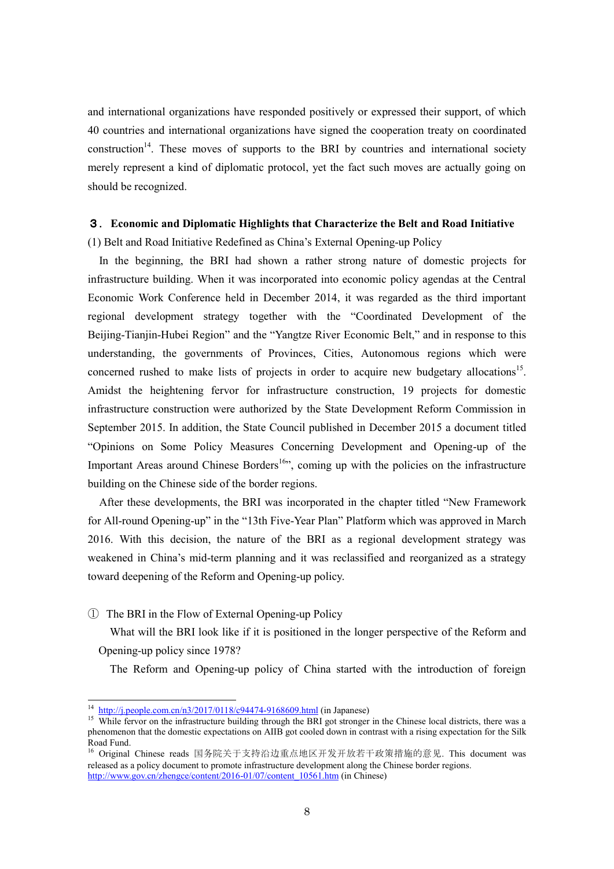and international organizations have responded positively or expressed their support, of which 40 countries and international organizations have signed the cooperation treaty on coordinated construction<sup>14</sup>. These moves of supports to the BRI by countries and international society merely represent a kind of diplomatic protocol, yet the fact such moves are actually going on should be recognized.

# 3. **Economic and Diplomatic Highlights that Characterize the Belt and Road Initiative**

(1) Belt and Road Initiative Redefined as China's External Opening-up Policy

In the beginning, the BRI had shown a rather strong nature of domestic projects for infrastructure building. When it was incorporated into economic policy agendas at the Central Economic Work Conference held in December 2014, it was regarded as the third important regional development strategy together with the "Coordinated Development of the Beijing-Tianjin-Hubei Region" and the "Yangtze River Economic Belt," and in response to this understanding, the governments of Provinces, Cities, Autonomous regions which were concerned rushed to make lists of projects in order to acquire new budgetary allocations<sup>15</sup>. Amidst the heightening fervor for infrastructure construction, 19 projects for domestic infrastructure construction were authorized by the State Development Reform Commission in September 2015. In addition, the State Council published in December 2015 a document titled "Opinions on Some Policy Measures Concerning Development and Opening-up of the Important Areas around Chinese Borders<sup>16</sup>", coming up with the policies on the infrastructure building on the Chinese side of the border regions.

After these developments, the BRI was incorporated in the chapter titled "New Framework for All-round Opening-up" in the "13th Five-Year Plan" Platform which was approved in March 2016. With this decision, the nature of the BRI as a regional development strategy was weakened in China's mid-term planning and it was reclassified and reorganized as a strategy toward deepening of the Reform and Opening-up policy.

① The BRI in the Flow of External Opening-up Policy

What will the BRI look like if it is positioned in the longer perspective of the Reform and Opening-up policy since 1978?

The Reform and Opening-up policy of China started with the introduction of foreign

 $\overline{a}$ 

<sup>14</sup> <http://j.people.com.cn/n3/2017/0118/c94474-9168609.html>(in Japanese)

<sup>&</sup>lt;sup>15</sup> While fervor on the infrastructure building through the BRI got stronger in the Chinese local districts, there was a phenomenon that the domestic expectations on AIIB got cooled down in contrast with a rising expectation for the Silk Road Fund.

<sup>16</sup> Original Chinese reads 国务院关于支持沿边重点地区开发开放若干政策措施的意见. This document was released as a policy document to promote infrastructure development along the Chinese border regions. [http://www.gov.cn/zhengce/content/2016-01/07/content\\_10561.htm \(](http://www.gov.cn/zhengce/content/2016-01/07/content_10561.htm)in Chinese)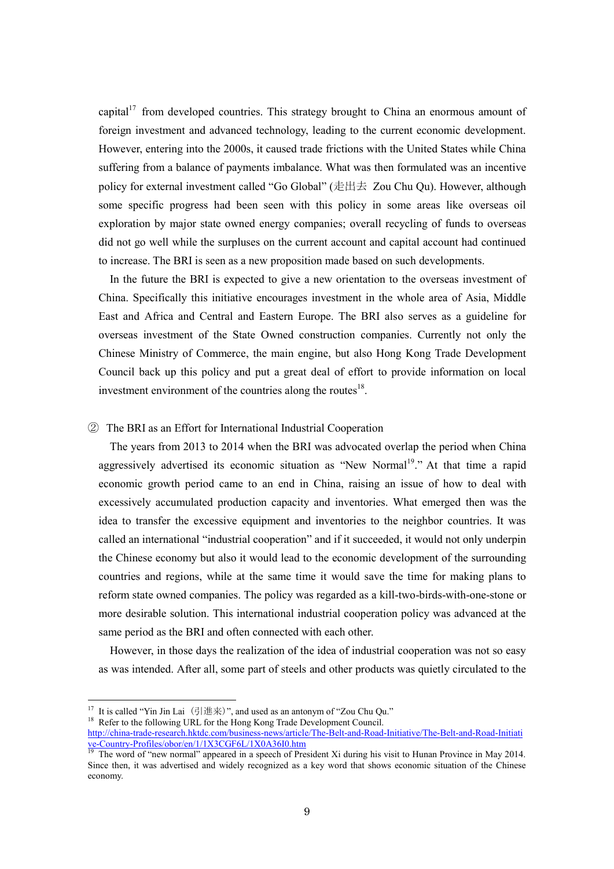capital<sup>17</sup> from developed countries. This strategy brought to China an enormous amount of foreign investment and advanced technology, leading to the current economic development. However, entering into the 2000s, it caused trade frictions with the United States while China suffering from a balance of payments imbalance. What was then formulated was an incentive policy for external investment called "Go Global" (走出去 Zou Chu Qu). However, although some specific progress had been seen with this policy in some areas like overseas oil exploration by major state owned energy companies; overall recycling of funds to overseas did not go well while the surpluses on the current account and capital account had continued to increase. The BRI is seen as a new proposition made based on such developments.

In the future the BRI is expected to give a new orientation to the overseas investment of China. Specifically this initiative encourages investment in the whole area of Asia, Middle East and Africa and Central and Eastern Europe. The BRI also serves as a guideline for overseas investment of the State Owned construction companies. Currently not only the Chinese Ministry of Commerce, the main engine, but also Hong Kong Trade Development Council back up this policy and put a great deal of effort to provide information on local investment environment of the countries along the routes $18$ .

# ② The BRI as an Effort for International Industrial Cooperation

The years from 2013 to 2014 when the BRI was advocated overlap the period when China aggressively advertised its economic situation as "New Normal<sup>19</sup>." At that time a rapid economic growth period came to an end in China, raising an issue of how to deal with excessively accumulated production capacity and inventories. What emerged then was the idea to transfer the excessive equipment and inventories to the neighbor countries. It was called an international "industrial cooperation" and if it succeeded, it would not only underpin the Chinese economy but also it would lead to the economic development of the surrounding countries and regions, while at the same time it would save the time for making plans to reform state owned companies. The policy was regarded as a kill-two-birds-with-one-stone or more desirable solution. This international industrial cooperation policy was advanced at the same period as the BRI and often connected with each other.

However, in those days the realization of the idea of industrial cooperation was not so easy as was intended. After all, some part of steels and other products was quietly circulated to the

<sup>18</sup> Refer to the following URL for the Hong Kong Trade Development Council.

 $\overline{a}$ 

<sup>&</sup>lt;sup>17</sup> It is called "Yin Jin Lai  $(\frac{1}{2}|\text{#} \text{#})$ ", and used as an antonym of "Zou Chu Qu."

[http://china-trade-research.hktdc.com/business-news/article/The-Belt-and-Road-Initiative/The-Belt-and-Road-Initiati](http://china-trade-research.hktdc.com/business-news/article/The-Belt-and-Road-Initiative/The-Belt-and-Road-Initiative-Country-Profiles/obor/en/1/1X3CGF6L/1X0A36I0.htm) [ve-Country-Profiles/obor/en/1/1X3CGF6L/1X0A36I0.htm](http://china-trade-research.hktdc.com/business-news/article/The-Belt-and-Road-Initiative/The-Belt-and-Road-Initiative-Country-Profiles/obor/en/1/1X3CGF6L/1X0A36I0.htm)

<sup>&</sup>lt;sup>19</sup> The word of "new normal" appeared in a speech of President Xi during his visit to Hunan Province in May 2014. Since then, it was advertised and widely recognized as a key word that shows economic situation of the Chinese economy.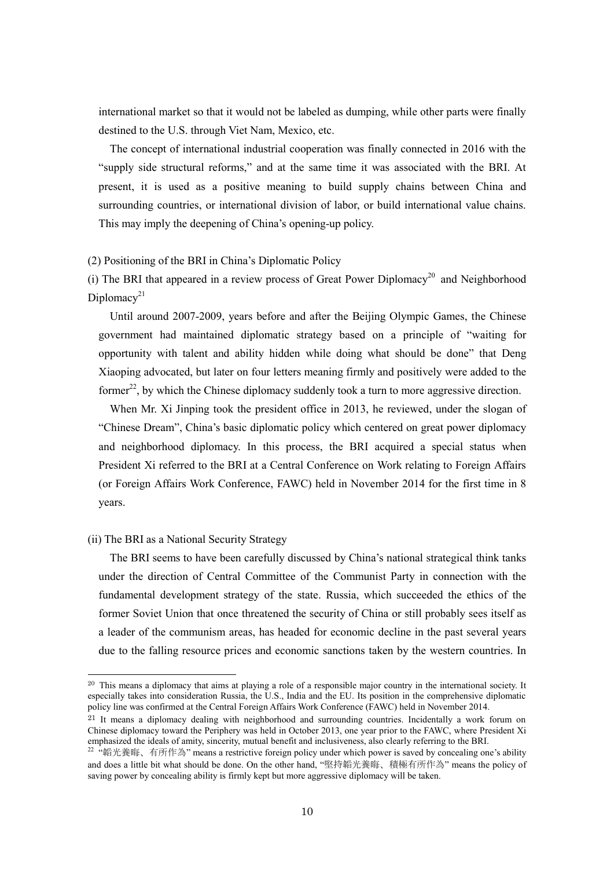international market so that it would not be labeled as dumping, while other parts were finally destined to the U.S. through Viet Nam, Mexico, etc.

The concept of international industrial cooperation was finally connected in 2016 with the "supply side structural reforms," and at the same time it was associated with the BRI. At present, it is used as a positive meaning to build supply chains between China and surrounding countries, or international division of labor, or build international value chains. This may imply the deepening of China's opening-up policy.

#### (2) Positioning of the BRI in China's Diplomatic Policy

(i) The BRI that appeared in a review process of Great Power Diplomacy<sup>20</sup> and Neighborhood Diplomacy<sup>21</sup>

Until around 2007-2009, years before and after the Beijing Olympic Games, the Chinese government had maintained diplomatic strategy based on a principle of "waiting for opportunity with talent and ability hidden while doing what should be done" that Deng Xiaoping advocated, but later on four letters meaning firmly and positively were added to the former<sup>22</sup>, by which the Chinese diplomacy suddenly took a turn to more aggressive direction.

When Mr. Xi Jinping took the president office in 2013, he reviewed, under the slogan of "Chinese Dream", China's basic diplomatic policy which centered on great power diplomacy and neighborhood diplomacy. In this process, the BRI acquired a special status when President Xi referred to the BRI at a Central Conference on Work relating to Foreign Affairs (or Foreign Affairs Work Conference, FAWC) held in November 2014 for the first time in 8 years.

#### (ii) The BRI as a National Security Strategy

 $\overline{a}$ 

The BRI seems to have been carefully discussed by China's national strategical think tanks under the direction of Central Committee of the Communist Party in connection with the fundamental development strategy of the state. Russia, which succeeded the ethics of the former Soviet Union that once threatened the security of China or still probably sees itself as a leader of the communism areas, has headed for economic decline in the past several years due to the falling resource prices and economic sanctions taken by the western countries. In

<sup>&</sup>lt;sup>20</sup> This means a diplomacy that aims at playing a role of a responsible major country in the international society. It especially takes into consideration Russia, the U.S., India and the EU. Its position in the comprehensive diplomatic policy line was confirmed at the Central Foreign Affairs Work Conference (FAWC) held in November 2014.

<sup>&</sup>lt;sup>21</sup> It means a diplomacy dealing with neighborhood and surrounding countries. Incidentally a work forum on Chinese diplomacy toward the Periphery was held in October 2013, one year prior to the FAWC, where President Xi emphasized the ideals of amity, sincerity, mutual benefit and inclusiveness, also clearly referring to the BRI.

<sup>&</sup>lt;sup>22</sup> "韜光養晦、有所作為" means a restrictive foreign policy under which power is saved by concealing one's ability and does a little bit what should be done. On the other hand, "堅持韜光養晦、積極有所作為" means the policy of saving power by concealing ability is firmly kept but more aggressive diplomacy will be taken.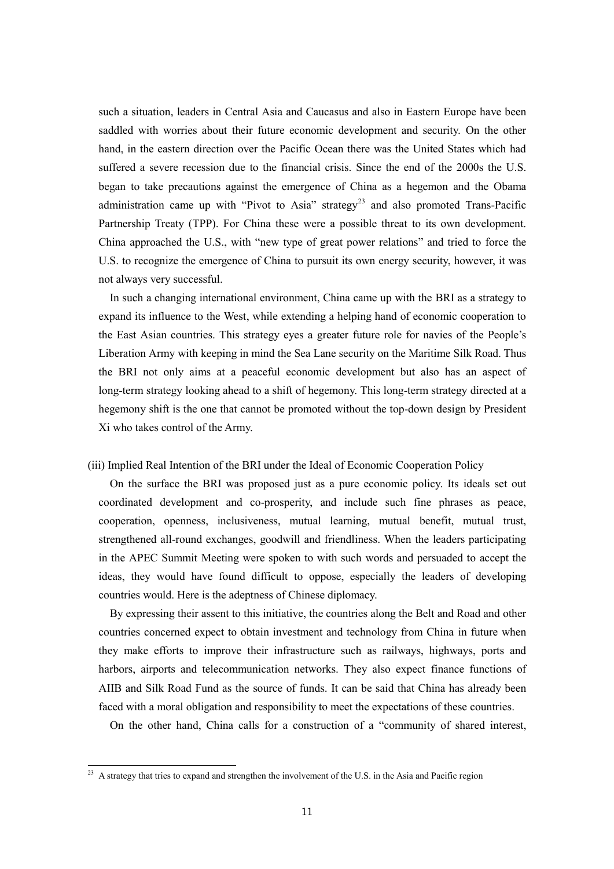such a situation, leaders in Central Asia and Caucasus and also in Eastern Europe have been saddled with worries about their future economic development and security. On the other hand, in the eastern direction over the Pacific Ocean there was the United States which had suffered a severe recession due to the financial crisis. Since the end of the 2000s the U.S. began to take precautions against the emergence of China as a hegemon and the Obama administration came up with "Pivot to Asia" strategy<sup>23</sup> and also promoted Trans-Pacific Partnership Treaty (TPP). For China these were a possible threat to its own development. China approached the U.S., with "new type of great power relations" and tried to force the U.S. to recognize the emergence of China to pursuit its own energy security, however, it was not always very successful.

In such a changing international environment, China came up with the BRI as a strategy to expand its influence to the West, while extending a helping hand of economic cooperation to the East Asian countries. This strategy eyes a greater future role for navies of the People's Liberation Army with keeping in mind the Sea Lane security on the Maritime Silk Road. Thus the BRI not only aims at a peaceful economic development but also has an aspect of long-term strategy looking ahead to a shift of hegemony. This long-term strategy directed at a hegemony shift is the one that cannot be promoted without the top-down design by President Xi who takes control of the Army.

(iii) Implied Real Intention of the BRI under the Ideal of Economic Cooperation Policy

On the surface the BRI was proposed just as a pure economic policy. Its ideals set out coordinated development and co-prosperity, and include such fine phrases as peace, cooperation, openness, inclusiveness, mutual learning, mutual benefit, mutual trust, strengthened all-round exchanges, goodwill and friendliness. When the leaders participating in the APEC Summit Meeting were spoken to with such words and persuaded to accept the ideas, they would have found difficult to oppose, especially the leaders of developing countries would. Here is the adeptness of Chinese diplomacy.

By expressing their assent to this initiative, the countries along the Belt and Road and other countries concerned expect to obtain investment and technology from China in future when they make efforts to improve their infrastructure such as railways, highways, ports and harbors, airports and telecommunication networks. They also expect finance functions of AIIB and Silk Road Fund as the source of funds. It can be said that China has already been faced with a moral obligation and responsibility to meet the expectations of these countries.

On the other hand, China calls for a construction of a "community of shared interest,

-

<sup>&</sup>lt;sup>23</sup> A strategy that tries to expand and strengthen the involvement of the U.S. in the Asia and Pacific region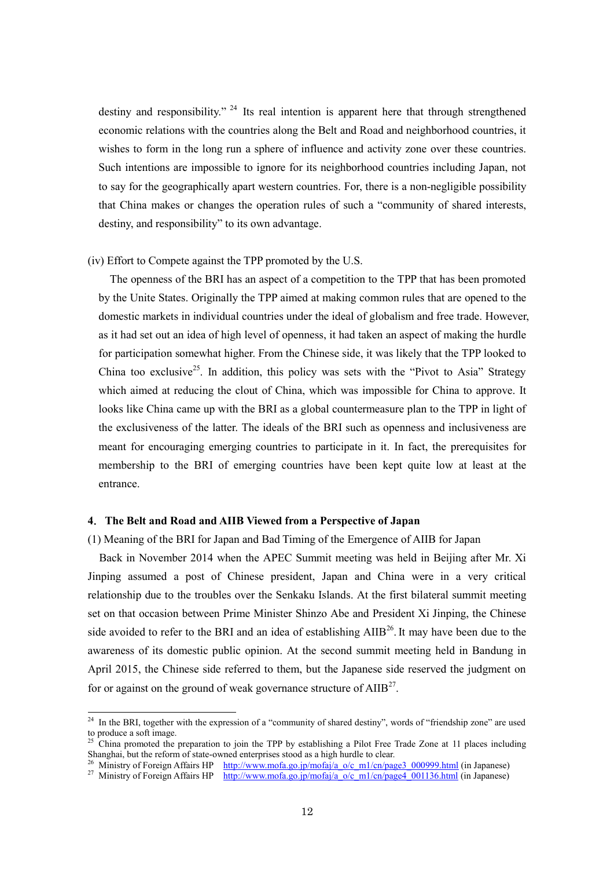destiny and responsibility." <sup>24</sup> Its real intention is apparent here that through strengthened economic relations with the countries along the Belt and Road and neighborhood countries, it wishes to form in the long run a sphere of influence and activity zone over these countries. Such intentions are impossible to ignore for its neighborhood countries including Japan, not to say for the geographically apart western countries. For, there is a non-negligible possibility that China makes or changes the operation rules of such a "community of shared interests, destiny, and responsibility" to its own advantage.

#### (iv) Effort to Compete against the TPP promoted by the U.S.

The openness of the BRI has an aspect of a competition to the TPP that has been promoted by the Unite States. Originally the TPP aimed at making common rules that are opened to the domestic markets in individual countries under the ideal of globalism and free trade. However, as it had set out an idea of high level of openness, it had taken an aspect of making the hurdle for participation somewhat higher. From the Chinese side, it was likely that the TPP looked to China too exclusive<sup>25</sup>. In addition, this policy was sets with the "Pivot to Asia" Strategy which aimed at reducing the clout of China, which was impossible for China to approve. It looks like China came up with the BRI as a global countermeasure plan to the TPP in light of the exclusiveness of the latter. The ideals of the BRI such as openness and inclusiveness are meant for encouraging emerging countries to participate in it. In fact, the prerequisites for membership to the BRI of emerging countries have been kept quite low at least at the entrance.

#### **4**.**The Belt and Road and AIIB Viewed from a Perspective of Japan**

 $\overline{a}$ 

## (1) Meaning of the BRI for Japan and Bad Timing of the Emergence of AIIB for Japan

Back in November 2014 when the APEC Summit meeting was held in Beijing after Mr. Xi Jinping assumed a post of Chinese president, Japan and China were in a very critical relationship due to the troubles over the Senkaku Islands. At the first bilateral summit meeting set on that occasion between Prime Minister Shinzo Abe and President Xi Jinping, the Chinese side avoided to refer to the BRI and an idea of establishing  $\text{AIB}^{26}$ . It may have been due to the awareness of its domestic public opinion. At the second summit meeting held in Bandung in April 2015, the Chinese side referred to them, but the Japanese side reserved the judgment on for or against on the ground of weak governance structure of  $\text{AIB}^{27}$ .

<sup>&</sup>lt;sup>24</sup> In the BRI, together with the expression of a "community of shared destiny", words of "friendship zone" are used to produce a soft image.

<sup>25</sup> China promoted the preparation to join the TPP by establishing a Pilot Free Trade Zone at 11 places including Shanghai, but the reform of state-owned enterprises stood as a high hurdle to clear.

<sup>&</sup>lt;sup>26</sup> Ministry of Foreign Affairs HP [http://www.mofa.go.jp/mofaj/a\\_o/c\\_m1/cn/page3\\_000999.html](http://www.mofa.go.jp/mofaj/a_o/c_m1/cn/page3_000999.html) (in Japanese)

<sup>&</sup>lt;sup>27</sup> Ministry of Foreign Affairs HP [http://www.mofa.go.jp/mofaj/a\\_o/c\\_m1/cn/page4\\_001136.html \(](http://www.mofa.go.jp/mofaj/a_o/c_m1/cn/page4_001136.html)in Japanese)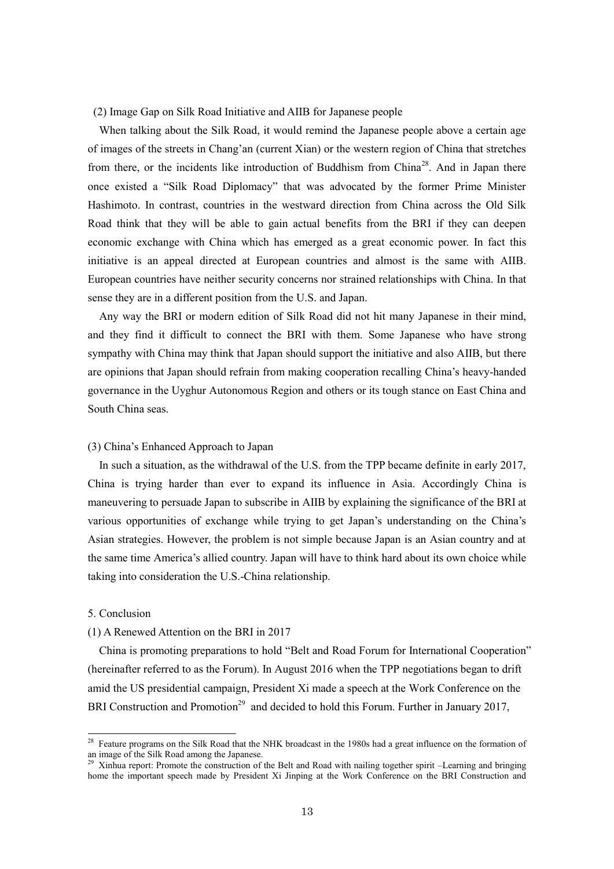#### (2) Image Gap on Silk Road Initiative and AIIB for Japanese people

When talking about the Silk Road, it would remind the Japanese people above a certain age of images of the streets in Chang'an (current Xian) or the western region of China that stretches from there, or the incidents like introduction of Buddhism from China<sup>28</sup>. And in Japan there once existed a "Silk Road Diplomacy" that was advocated by the former Prime Minister Hashimoto. In contrast, countries in the westward direction from China across the Old Silk Road think that they will be able to gain actual benefits from the BRI if they can deepen economic exchange with China which has emerged as a great economic power. In fact this initiative is an appeal directed at European countries and almost is the same with AIIB. European countries have neither security concerns nor strained relationships with China. In that sense they are in a different position from the U.S. and Japan.

Any way the BRI or modern edition of Silk Road did not hit many Japanese in their mind, and they find it difficult to connect the BRI with them. Some Japanese who have strong sympathy with China may think that Japan should support the initiative and also AIIB, but there are opinions that Japan should refrain from making cooperation recalling China's heavy-handed governance in the Uyghur Autonomous Region and others or its tough stance on East China and South China seas.

# (3) China's Enhanced Approach to Japan

In such a situation, as the withdrawal of the U.S. from the TPP became definite in early 2017, China is trying harder than ever to expand its influence in Asia. Accordingly China is maneuvering to persuade Japan to subscribe in AIIB by explaining the significance of the BRI at various opportunities of exchange while trying to get Japan's understanding on the China's Asian strategies. However, the problem is not simple because Japan is an Asian country and at the same time America's allied country. Japan will have to think hard about its own choice while taking into consideration the U.S.-China relationship.

## 5. Conclusion

-

#### (1) A Renewed Attention on the BRI in 2017

China is promoting preparations to hold "Belt and Road Forum for International Cooperation" (hereinafter referred to as the Forum). In August 2016 when the TPP negotiations began to drift amid the US presidential campaign, President Xi made a speech at the Work Conference on the BRI Construction and Promotion<sup>29</sup> and decided to hold this Forum. Further in January 2017,

<sup>&</sup>lt;sup>28</sup> Feature programs on the Silk Road that the NHK broadcast in the 1980s had a great influence on the formation of an image of the Silk Road among the Japanese.

<sup>&</sup>lt;sup>29</sup> Xinhua report: Promote the construction of the Belt and Road with nailing together spirit –Learning and bringing home the important speech made by President Xi Jinping at the Work Conference on the BRI Construction and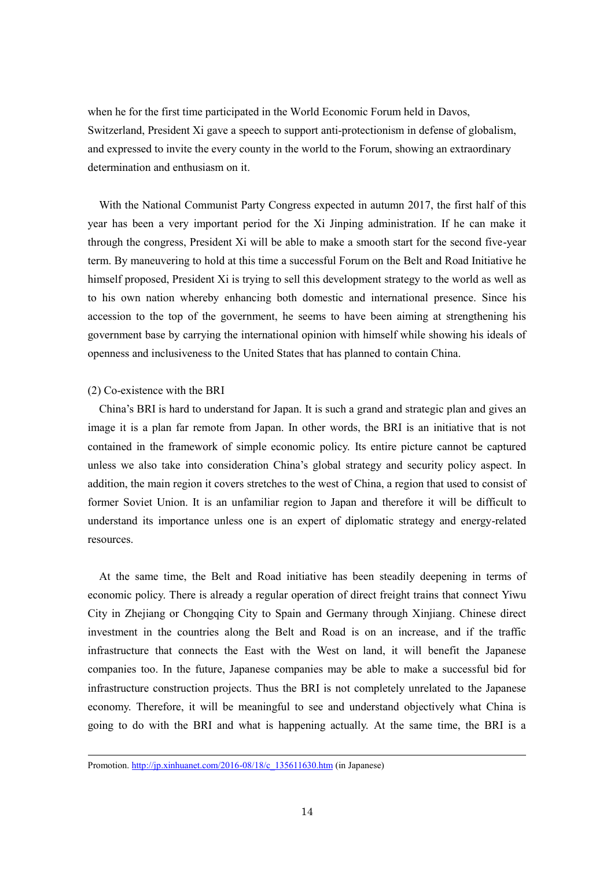when he for the first time participated in the World Economic Forum held in Davos, Switzerland, President Xi gave a speech to support anti-protectionism in defense of globalism, and expressed to invite the every county in the world to the Forum, showing an extraordinary determination and enthusiasm on it.

With the National Communist Party Congress expected in autumn 2017, the first half of this year has been a very important period for the Xi Jinping administration. If he can make it through the congress, President Xi will be able to make a smooth start for the second five-year term. By maneuvering to hold at this time a successful Forum on the Belt and Road Initiative he himself proposed, President Xi is trying to sell this development strategy to the world as well as to his own nation whereby enhancing both domestic and international presence. Since his accession to the top of the government, he seems to have been aiming at strengthening his government base by carrying the international opinion with himself while showing his ideals of openness and inclusiveness to the United States that has planned to contain China.

#### (2) Co-existence with the BRI

-

China's BRI is hard to understand for Japan. It is such a grand and strategic plan and gives an image it is a plan far remote from Japan. In other words, the BRI is an initiative that is not contained in the framework of simple economic policy. Its entire picture cannot be captured unless we also take into consideration China's global strategy and security policy aspect. In addition, the main region it covers stretches to the west of China, a region that used to consist of former Soviet Union. It is an unfamiliar region to Japan and therefore it will be difficult to understand its importance unless one is an expert of diplomatic strategy and energy-related resources.

At the same time, the Belt and Road initiative has been steadily deepening in terms of economic policy. There is already a regular operation of direct freight trains that connect Yiwu City in Zhejiang or Chongqing City to Spain and Germany through Xinjiang. Chinese direct investment in the countries along the Belt and Road is on an increase, and if the traffic infrastructure that connects the East with the West on land, it will benefit the Japanese companies too. In the future, Japanese companies may be able to make a successful bid for infrastructure construction projects. Thus the BRI is not completely unrelated to the Japanese economy. Therefore, it will be meaningful to see and understand objectively what China is going to do with the BRI and what is happening actually. At the same time, the BRI is a

Promotion[. http://jp.xinhuanet.com/2016-08/18/c\\_135611630.htm](http://jp.xinhuanet.com/2016-08/18/c_135611630.htm) (in Japanese)